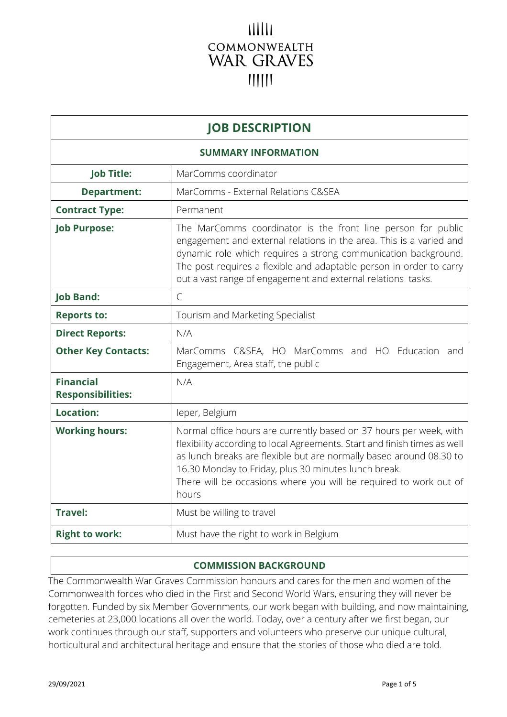# шш COMMONWEALTH **WAR GRAVES**  $11111$

| <b>JOB DESCRIPTION</b>                       |                                                                                                                                                                                                                                                                                                                                                              |  |
|----------------------------------------------|--------------------------------------------------------------------------------------------------------------------------------------------------------------------------------------------------------------------------------------------------------------------------------------------------------------------------------------------------------------|--|
| <b>SUMMARY INFORMATION</b>                   |                                                                                                                                                                                                                                                                                                                                                              |  |
| <b>Job Title:</b>                            | MarComms coordinator                                                                                                                                                                                                                                                                                                                                         |  |
| <b>Department:</b>                           | MarComms - External Relations C&SEA                                                                                                                                                                                                                                                                                                                          |  |
| <b>Contract Type:</b>                        | Permanent                                                                                                                                                                                                                                                                                                                                                    |  |
| <b>Job Purpose:</b>                          | The MarComms coordinator is the front line person for public<br>engagement and external relations in the area. This is a varied and<br>dynamic role which requires a strong communication background.<br>The post requires a flexible and adaptable person in order to carry<br>out a vast range of engagement and external relations tasks.                 |  |
| <b>Job Band:</b>                             | $\mathcal{C}$                                                                                                                                                                                                                                                                                                                                                |  |
| <b>Reports to:</b>                           | Tourism and Marketing Specialist                                                                                                                                                                                                                                                                                                                             |  |
| <b>Direct Reports:</b>                       | N/A                                                                                                                                                                                                                                                                                                                                                          |  |
| <b>Other Key Contacts:</b>                   | MarComms C&SEA, HO MarComms and HO Education and<br>Engagement, Area staff, the public                                                                                                                                                                                                                                                                       |  |
| <b>Financial</b><br><b>Responsibilities:</b> | N/A                                                                                                                                                                                                                                                                                                                                                          |  |
| Location:                                    | leper, Belgium                                                                                                                                                                                                                                                                                                                                               |  |
| <b>Working hours:</b>                        | Normal office hours are currently based on 37 hours per week, with<br>flexibility according to local Agreements. Start and finish times as well<br>as lunch breaks are flexible but are normally based around 08.30 to<br>16.30 Monday to Friday, plus 30 minutes lunch break.<br>There will be occasions where you will be required to work out of<br>hours |  |
| <b>Travel:</b>                               | Must be willing to travel                                                                                                                                                                                                                                                                                                                                    |  |
| <b>Right to work:</b>                        | Must have the right to work in Belgium                                                                                                                                                                                                                                                                                                                       |  |

# **COMMISSION BACKGROUND**

The Commonwealth War Graves Commission honours and cares for the men and women of the Commonwealth forces who died in the First and Second World Wars, ensuring they will never be forgotten. Funded by six Member Governments, our work began with building, and now maintaining, cemeteries at 23,000 locations all over the world. Today, over a century after we first began, our work continues through our staff, supporters and volunteers who preserve our unique cultural, horticultural and architectural heritage and ensure that the stories of those who died are told.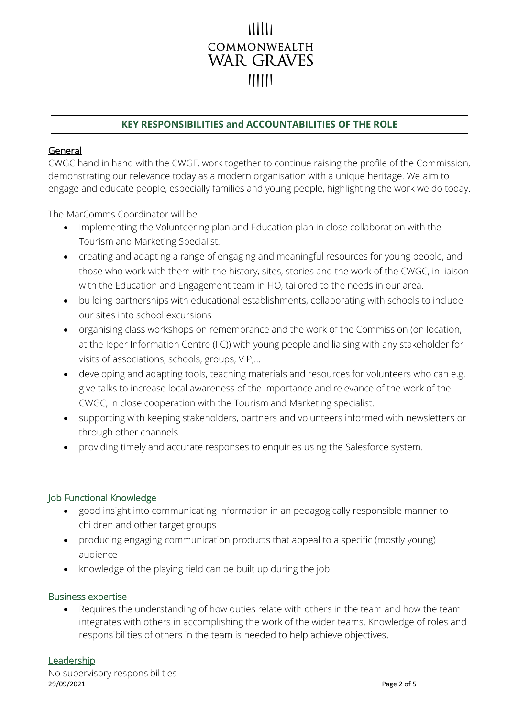# COMMONWEALTH WAR GRAVES  $\parallel$   $\parallel$   $\parallel$   $\parallel$   $\parallel$

# **KEY RESPONSIBILITIES and ACCOUNTABILITIES OF THE ROLE**

# General

CWGC hand in hand with the CWGF, work together to continue raising the profile of the Commission, demonstrating our relevance today as a modern organisation with a unique heritage. We aim to engage and educate people, especially families and young people, highlighting the work we do today.

The MarComms Coordinator will be

- Implementing the Volunteering plan and Education plan in close collaboration with the Tourism and Marketing Specialist.
- creating and adapting a range of engaging and meaningful resources for young people, and those who work with them with the history, sites, stories and the work of the CWGC, in liaison with the Education and Engagement team in HO, tailored to the needs in our area.
- building partnerships with educational establishments, collaborating with schools to include our sites into school excursions
- organising class workshops on remembrance and the work of the Commission (on location, at the Ieper Information Centre (IIC)) with young people and liaising with any stakeholder for visits of associations, schools, groups, VIP,…
- developing and adapting tools, teaching materials and resources for volunteers who can e.g. give talks to increase local awareness of the importance and relevance of the work of the CWGC, in close cooperation with the Tourism and Marketing specialist.
- supporting with keeping stakeholders, partners and volunteers informed with newsletters or through other channels
- providing timely and accurate responses to enquiries using the Salesforce system.

# Job Functional Knowledge

- good insight into communicating information in an pedagogically responsible manner to children and other target groups
- producing engaging communication products that appeal to a specific (mostly young) audience
- knowledge of the playing field can be built up during the job

# Business expertise

• Requires the understanding of how duties relate with others in the team and how the team integrates with others in accomplishing the work of the wider teams. Knowledge of roles and responsibilities of others in the team is needed to help achieve objectives.

# **Leadership**

29/09/2021 Page 2 of 5 No supervisory responsibilities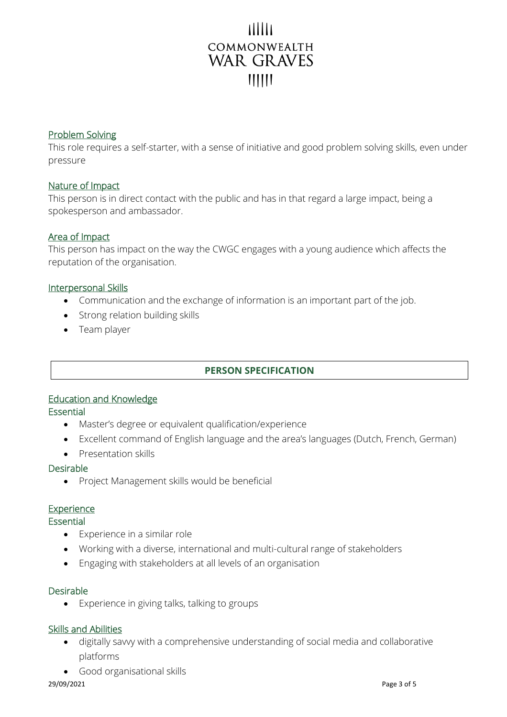# COMMONWEALTH **WAR GRAVES**  $\mathsf{III}\mathsf{II}$

#### Problem Solving

This role requires a self-starter, with a sense of initiative and good problem solving skills, even under pressure

#### Nature of Impact

This person is in direct contact with the public and has in that regard a large impact, being a spokesperson and ambassador.

# Area of Impact

This person has impact on the way the CWGC engages with a young audience which affects the reputation of the organisation.

#### Interpersonal Skills

- Communication and the exchange of information is an important part of the job.
- Strong relation building skills
- Team player

# **PERSON SPECIFICATION**

# Education and Knowledge

#### Essential

- Master's degree or equivalent qualification/experience
- Excellent command of English language and the area's languages (Dutch, French, German)
- Presentation skills

#### Desirable

• Project Management skills would be beneficial

#### Experience

#### Essential

- Experience in a similar role
- Working with a diverse, international and multi-cultural range of stakeholders
- Engaging with stakeholders at all levels of an organisation

#### Desirable

• Experience in giving talks, talking to groups

#### Skills and Abilities

- digitally savvy with a comprehensive understanding of social media and collaborative platforms
- Good organisational skills

#### 29/09/2021 Page 3 of 5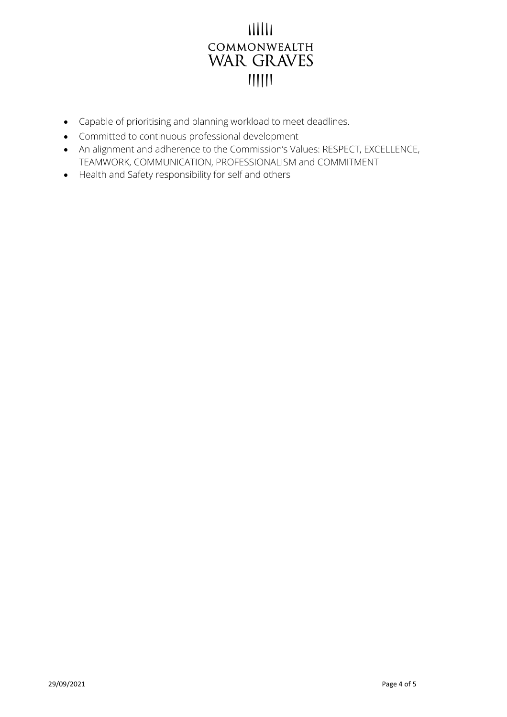# $11111$ COMMONWEALTH **WAR GRAVES**

- Capable of prioritising and planning workload to meet deadlines.
- Committed to continuous professional development
- An alignment and adherence to the Commission's Values: RESPECT, EXCELLENCE, TEAMWORK, COMMUNICATION, PROFESSIONALISM and COMMITMENT
- Health and Safety responsibility for self and others